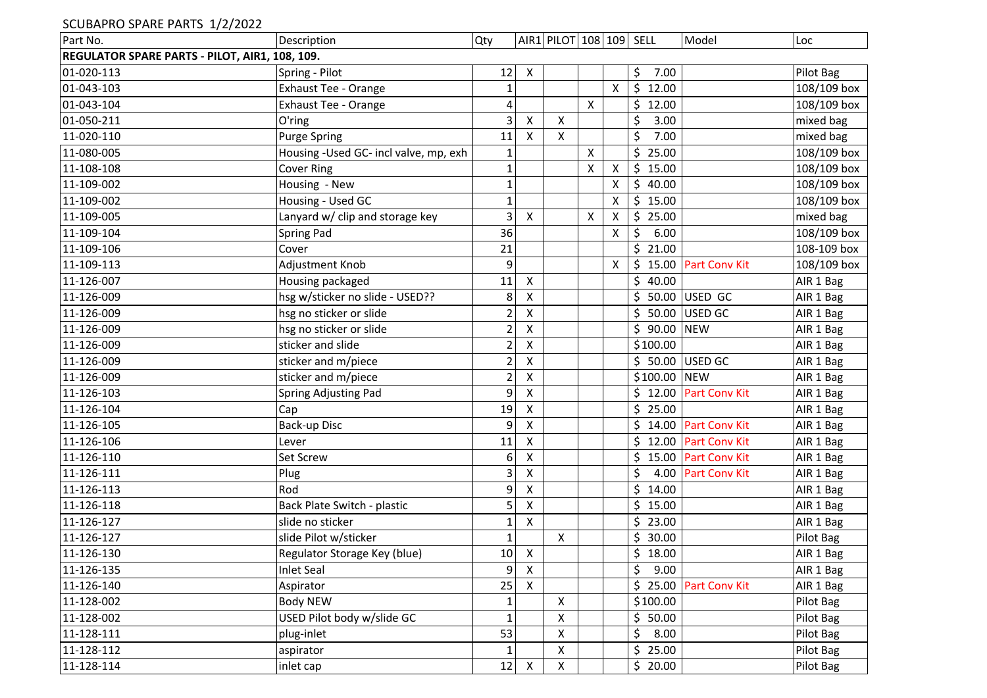## SCUBAPRO SPARE PARTS 1/2/2022

| Part No.                                       | Description                           | Qty            |                    | AIR1 PILOT 108 109 SELL |                    |                           |                        | Model                  | Loc         |
|------------------------------------------------|---------------------------------------|----------------|--------------------|-------------------------|--------------------|---------------------------|------------------------|------------------------|-------------|
| REGULATOR SPARE PARTS - PILOT, AIR1, 108, 109. |                                       |                |                    |                         |                    |                           |                        |                        |             |
| 01-020-113                                     | Spring - Pilot                        | 12             | X                  |                         |                    |                           | \$<br>7.00             |                        | Pilot Bag   |
| 01-043-103                                     | Exhaust Tee - Orange                  | $\mathbf{1}$   |                    |                         |                    | $\boldsymbol{\mathsf{X}}$ | $\frac{1}{2}$<br>12.00 |                        | 108/109 box |
| 01-043-104                                     | Exhaust Tee - Orange                  | 4              |                    |                         | $\pmb{\mathsf{X}}$ |                           | \$12.00                |                        | 108/109 box |
| 01-050-211                                     | O'ring                                | 3              | Χ                  | X                       |                    |                           | \$<br>3.00             |                        | mixed bag   |
| 11-020-110                                     | <b>Purge Spring</b>                   | 11             | X                  | X                       |                    |                           | \$<br>7.00             |                        | mixed bag   |
| 11-080-005                                     | Housing -Used GC- incl valve, mp, exh | $\mathbf{1}$   |                    |                         | $\mathsf{X}$       |                           | \$<br>25.00            |                        | 108/109 box |
| 11-108-108                                     | <b>Cover Ring</b>                     | $\mathbf 1$    |                    |                         | X                  | X                         | \$<br>15.00            |                        | 108/109 box |
| 11-109-002                                     | Housing - New                         | $\mathbf{1}$   |                    |                         |                    | X                         | $\zeta$<br>40.00       |                        | 108/109 box |
| 11-109-002                                     | Housing - Used GC                     | $\mathbf{1}$   |                    |                         |                    | X                         | \$15.00                |                        | 108/109 box |
| 11-109-005                                     | Lanyard w/ clip and storage key       | $\overline{3}$ | $\mathsf{X}$       |                         | $\pmb{\mathsf{X}}$ | $\mathsf{X}$              | \$25.00                |                        | mixed bag   |
| 11-109-104                                     | Spring Pad                            | 36             |                    |                         |                    | X                         | 6.00<br>\$             |                        | 108/109 box |
| 11-109-106                                     | Cover                                 | 21             |                    |                         |                    |                           | \$21.00                |                        | 108-109 box |
| 11-109-113                                     | Adjustment Knob                       | 9              |                    |                         |                    | X                         |                        | \$15.00 Part Conv Kit  | 108/109 box |
| 11-126-007                                     | Housing packaged                      | 11             | $\pmb{\mathsf{X}}$ |                         |                    |                           | \$<br>40.00            |                        | AIR 1 Bag   |
| 11-126-009                                     | hsg w/sticker no slide - USED??       | 8              | Χ                  |                         |                    |                           |                        | \$ 50.00 USED GC       | AIR 1 Bag   |
| 11-126-009                                     | hsg no sticker or slide               | $\overline{a}$ | $\pmb{\mathsf{X}}$ |                         |                    |                           | \$                     | 50.00 USED GC          | AIR 1 Bag   |
| 11-126-009                                     | hsg no sticker or slide               | $\overline{c}$ | $\pmb{\mathsf{X}}$ |                         |                    |                           | \$ 90.00 NEW           |                        | AIR 1 Bag   |
| 11-126-009                                     | sticker and slide                     | $\overline{c}$ | $\pmb{\mathsf{X}}$ |                         |                    |                           | \$100.00               |                        | AIR 1 Bag   |
| 11-126-009                                     | sticker and m/piece                   | $\overline{c}$ | X                  |                         |                    |                           |                        | \$ 50.00 USED GC       | AIR 1 Bag   |
| 11-126-009                                     | sticker and m/piece                   | $\overline{2}$ | X                  |                         |                    |                           | \$100.00 NEW           |                        | AIR 1 Bag   |
| 11-126-103                                     | Spring Adjusting Pad                  | 9              | X                  |                         |                    |                           |                        | \$12.00 Part Conv Kit  | AIR 1 Bag   |
| 11-126-104                                     | Cap                                   | 19             | X                  |                         |                    |                           | \$25.00                |                        | AIR 1 Bag   |
| 11-126-105                                     | Back-up Disc                          | 9              | $\pmb{\mathsf{X}}$ |                         |                    |                           | \$                     | 14.00 Part Conv Kit    | AIR 1 Bag   |
| 11-126-106                                     | Lever                                 | 11             | $\pmb{\mathsf{X}}$ |                         |                    |                           |                        | \$12.00 Part Conv Kit  | AIR 1 Bag   |
| 11-126-110                                     | Set Screw                             | 6              | X                  |                         |                    |                           | \$.                    | 15.00 Part Conv Kit    | AIR 1 Bag   |
| 11-126-111                                     | Plug                                  | 3              | X                  |                         |                    |                           | \$                     | 4.00 Part Conv Kit     | AIR 1 Bag   |
| 11-126-113                                     | Rod                                   | 9              | X                  |                         |                    |                           | \$<br>14.00            |                        | AIR 1 Bag   |
| 11-126-118                                     | Back Plate Switch - plastic           | 5              | X                  |                         |                    |                           | \$15.00                |                        | AIR 1 Bag   |
| 11-126-127                                     | slide no sticker                      | 1              | $\pmb{\mathsf{X}}$ |                         |                    |                           | \$23.00                |                        | AIR 1 Bag   |
| 11-126-127                                     | slide Pilot w/sticker                 | $\mathbf{1}$   |                    | X                       |                    |                           | \$<br>30.00            |                        | Pilot Bag   |
| 11-126-130                                     | Regulator Storage Key (blue)          | 10             | X                  |                         |                    |                           | \$<br>18.00            |                        | AIR 1 Bag   |
| 11-126-135                                     | <b>Inlet Seal</b>                     | 9              | $\pmb{\mathsf{X}}$ |                         |                    |                           | \$<br>9.00             |                        | AIR 1 Bag   |
| 11-126-140                                     | Aspirator                             | 25             | X                  |                         |                    |                           |                        | \$ 25.00 Part Conv Kit | AIR 1 Bag   |
| 11-128-002                                     | Body NEW                              | $\mathbf 1$    |                    | $\pmb{\times}$          |                    |                           | \$100.00               |                        | Pilot Bag   |
| 11-128-002                                     | USED Pilot body w/slide GC            | $\mathbf{1}$   |                    | X                       |                    |                           | \$50.00                |                        | Pilot Bag   |
| 11-128-111                                     | plug-inlet                            | 53             |                    | Χ                       |                    |                           | \$<br>8.00             |                        | Pilot Bag   |
| 11-128-112                                     | aspirator                             | $\mathbf{1}$   |                    | X                       |                    |                           | \$<br>25.00            |                        | Pilot Bag   |
| 11-128-114                                     | inlet cap                             | 12             | $\pmb{\mathsf{X}}$ | $\pmb{\times}$          |                    |                           | \$20.00                |                        | Pilot Bag   |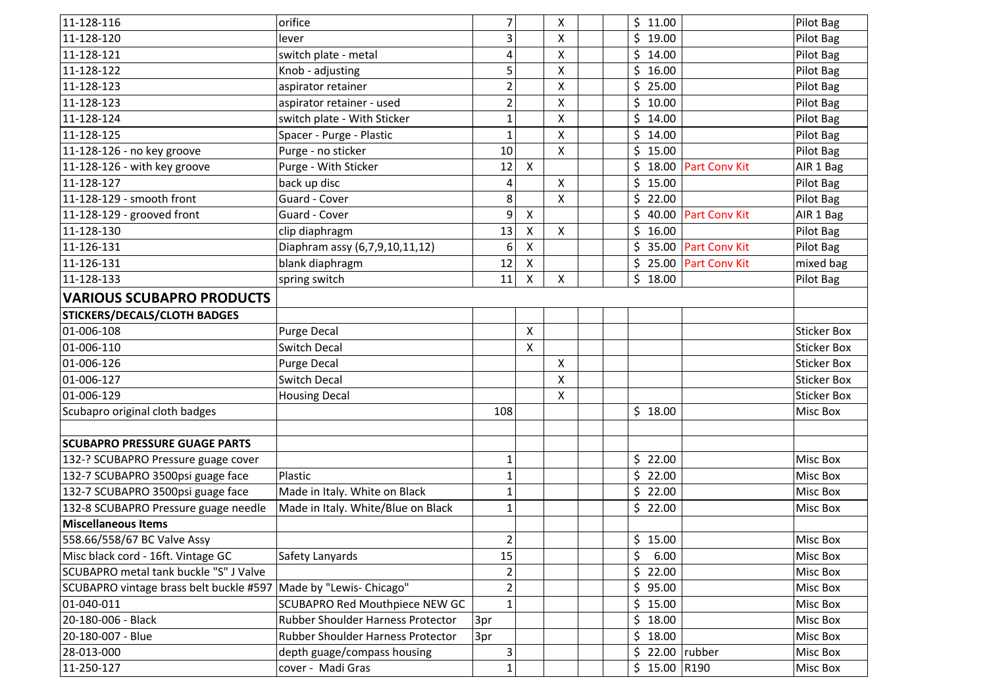| 11-128-116                              | orifice                                  | 7              |                           | X                  | \$<br>11.00   |                      | Pilot Bag          |
|-----------------------------------------|------------------------------------------|----------------|---------------------------|--------------------|---------------|----------------------|--------------------|
| 11-128-120                              | lever                                    | 3              |                           | X                  | \$<br>19.00   |                      | Pilot Bag          |
| 11-128-121                              | switch plate - metal                     | 4              |                           | X                  | \$<br>14.00   |                      | Pilot Bag          |
| 11-128-122                              | Knob - adjusting                         | 5              |                           | X                  | \$<br>16.00   |                      | Pilot Bag          |
| 11-128-123                              | aspirator retainer                       | $\overline{2}$ |                           | X                  | \$<br>25.00   |                      | Pilot Bag          |
| 11-128-123                              | aspirator retainer - used                | $\overline{a}$ |                           | $\pmb{\mathsf{X}}$ | \$<br>10.00   |                      | Pilot Bag          |
| 11-128-124                              | switch plate - With Sticker              | $\mathbf{1}$   |                           | X                  | \$<br>14.00   |                      | Pilot Bag          |
| 11-128-125                              | Spacer - Purge - Plastic                 | 1              |                           | $\pmb{\mathsf{X}}$ | \$<br>14.00   |                      | Pilot Bag          |
| 11-128-126 - no key groove              | Purge - no sticker                       | 10             |                           | $\pmb{\mathsf{X}}$ | \$<br>15.00   |                      | Pilot Bag          |
| 11-128-126 - with key groove            | Purge - With Sticker                     | 12             | $\boldsymbol{\mathsf{X}}$ |                    | \$<br>18.00   | <b>Part Conv Kit</b> | AIR 1 Bag          |
| 11-128-127                              | back up disc                             | 4              |                           | X                  | \$<br>15.00   |                      | Pilot Bag          |
| 11-128-129 - smooth front               | Guard - Cover                            | 8              |                           | X                  | \$<br>22.00   |                      | Pilot Bag          |
| 11-128-129 - grooved front              | Guard - Cover                            | 9              | $\boldsymbol{\mathsf{X}}$ |                    | \$<br>40.00   | <b>Part Conv Kit</b> | AIR 1 Bag          |
| 11-128-130                              | clip diaphragm                           | 13             | $\boldsymbol{\mathsf{X}}$ | $\pmb{\mathsf{X}}$ | \$<br>16.00   |                      | Pilot Bag          |
| 11-126-131                              | Diaphram assy (6,7,9,10,11,12)           | 6              | $\boldsymbol{\mathsf{X}}$ |                    | \$            | 35.00 Part Conv Kit  | Pilot Bag          |
| 11-126-131                              | blank diaphragm                          | 12             | $\boldsymbol{\mathsf{X}}$ |                    | \$            | 25.00 Part Conv Kit  | mixed bag          |
| 11-128-133                              | spring switch                            | 11             | $\boldsymbol{\mathsf{X}}$ | $\pmb{\mathsf{X}}$ | \$<br>18.00   |                      | Pilot Bag          |
| <b>VARIOUS SCUBAPRO PRODUCTS</b>        |                                          |                |                           |                    |               |                      |                    |
| <b>STICKERS/DECALS/CLOTH BADGES</b>     |                                          |                |                           |                    |               |                      |                    |
| 01-006-108                              | <b>Purge Decal</b>                       |                | $\boldsymbol{\mathsf{X}}$ |                    |               |                      | <b>Sticker Box</b> |
| 01-006-110                              | <b>Switch Decal</b>                      |                | $\pmb{\mathsf{X}}$        |                    |               |                      | <b>Sticker Box</b> |
| 01-006-126                              | <b>Purge Decal</b>                       |                |                           | X                  |               |                      | <b>Sticker Box</b> |
| 01-006-127                              | <b>Switch Decal</b>                      |                |                           | X                  |               |                      | <b>Sticker Box</b> |
| 01-006-129                              | <b>Housing Decal</b>                     |                |                           | X                  |               |                      | <b>Sticker Box</b> |
| Scubapro original cloth badges          |                                          | 108            |                           |                    | \$18.00       |                      | <b>Misc Box</b>    |
|                                         |                                          |                |                           |                    |               |                      |                    |
| <b>SCUBAPRO PRESSURE GUAGE PARTS</b>    |                                          |                |                           |                    |               |                      |                    |
| 132-? SCUBAPRO Pressure guage cover     |                                          | 1              |                           |                    | \$<br>22.00   |                      | Misc Box           |
| 132-7 SCUBAPRO 3500psi guage face       | Plastic                                  | $\mathbf{1}$   |                           |                    | \$<br>22.00   |                      | Misc Box           |
| 132-7 SCUBAPRO 3500psi guage face       | Made in Italy. White on Black            | 1              |                           |                    | \$<br>22.00   |                      | Misc Box           |
| 132-8 SCUBAPRO Pressure guage needle    | Made in Italy. White/Blue on Black       | $\mathbf{1}$   |                           |                    | \$22.00       |                      | Misc Box           |
| <b>Miscellaneous Items</b>              |                                          |                |                           |                    |               |                      |                    |
| 558.66/558/67 BC Valve Assy             |                                          | $\overline{2}$ |                           |                    | \$15.00       |                      | Misc Box           |
| Misc black cord - 16ft. Vintage GC      | Safety Lanyards                          | 15             |                           |                    | \$<br>6.00    |                      | Misc Box           |
| SCUBAPRO metal tank buckle "S" J Valve  |                                          | $\overline{2}$ |                           |                    | \$<br>22.00   |                      | Misc Box           |
| SCUBAPRO vintage brass belt buckle #597 | Made by "Lewis- Chicago"                 | $\overline{2}$ |                           |                    | \$<br>95.00   |                      | Misc Box           |
| 01-040-011                              | <b>SCUBAPRO Red Mouthpiece NEW GC</b>    | $\mathbf{1}$   |                           |                    | \$15.00       |                      | Misc Box           |
| 20-180-006 - Black                      | Rubber Shoulder Harness Protector        | 3pr            |                           |                    | \$18.00       |                      | Misc Box           |
| 20-180-007 - Blue                       | <b>Rubber Shoulder Harness Protector</b> | 3pr            |                           |                    | \$18.00       |                      | Misc Box           |
| 28-013-000                              | depth guage/compass housing              | 3              |                           |                    | \$            | 22.00 rubber         | Misc Box           |
| 11-250-127                              | cover - Madi Gras                        | 1              |                           |                    | $$15.00$ R190 |                      | Misc Box           |